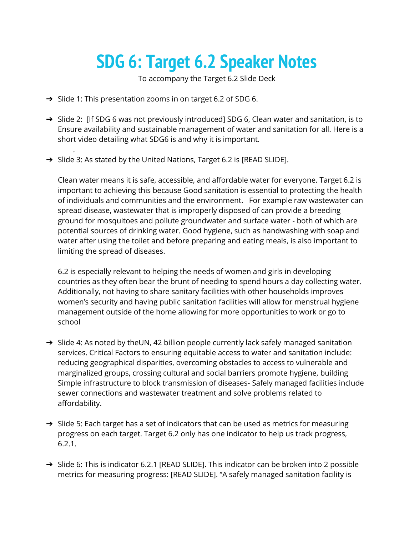## **SDG 6: Target 6.2 Speaker Notes**

To accompany the Target 6.2 Slide Deck

➔ Slide 1: This presentation zooms in on target 6.2 of SDG 6.

.

- → Slide 2: [If SDG 6 was not previously introduced] SDG 6, Clean water and sanitation, is to Ensure availability and sustainable management of water and sanitation for all. Here is a short video detailing what SDG6 is and why it is important.
- ➔ Slide 3: As stated by the United Nations, Target 6.2 is [READ SLIDE].

Clean water means it is safe, accessible, and affordable water for everyone. Target 6.2 is important to achieving this because Good sanitation is essential to protecting the health of individuals and communities and the environment. For example raw wastewater can spread disease, wastewater that is improperly disposed of can provide a breeding ground for mosquitoes and pollute groundwater and surface water - both of which are potential sources of drinking water. Good hygiene, such as handwashing with soap and water after using the toilet and before preparing and eating meals, is also important to limiting the spread of diseases.

6.2 is especially relevant to helping the needs of women and girls in developing countries as they often bear the brunt of needing to spend hours a day collecting water. Additionally, not having to share sanitary facilities with other households improves women's security and having public sanitation facilities will allow for menstrual hygiene management outside of the home allowing for more opportunities to work or go to school

- → Slide 4: As noted by theUN, 42 billion people currently lack safely managed sanitation services. Critical Factors to ensuring equitable access to water and sanitation include: reducing geographical disparities, overcoming obstacles to access to vulnerable and marginalized groups, crossing cultural and social barriers promote hygiene, building Simple infrastructure to block transmission of diseases- Safely managed facilities include sewer connections and wastewater treatment and solve problems related to affordability.
- → Slide 5: Each target has a set of indicators that can be used as metrics for measuring progress on each target. Target 6.2 only has one indicator to help us track progress, 6.2.1.
- ➔ Slide 6: This is indicator 6.2.1 [READ SLIDE]. This indicator can be broken into 2 possible metrics for measuring progress: [READ SLIDE]. "A safely managed sanitation facility is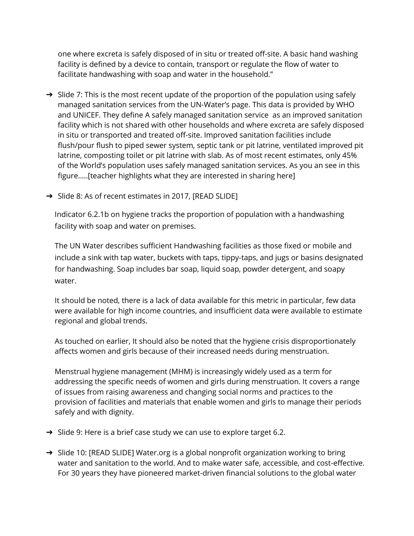one where excreta is safely disposed of in situ or treated off-site. A basic hand washing facility is defined by a device to contain, transport or regulate the flow of water to facilitate handwashing with soap and water in the household."

- → Slide 7: This is the most recent update of the proportion of the population using safely managed sanitation services from the UN-Water's page. This data is provided by WHO and UNICEF. They define A safely managed sanitation service as an improved sanitation facility which is not shared with other households and where excreta are safely disposed in situ or transported and treated off-site. Improved sanitation facilities include flush/pour flush to piped sewer system, septic tank or pit latrine, ventilated improved pit latrine, composting toilet or pit latrine with slab. As of most recent estimates, only 45% of the World's population uses safely managed sanitation services. As you an see in this figure…..[teacher highlights what they are interested in sharing here]
- ➔ Slide 8: As of recent estimates in 2017, [READ SLIDE]

Indicator 6.2.1b on hygiene tracks the proportion of population with a handwashing facility with soap and water on premises.

The UN Water describes sufficient Handwashing facilities as those fixed or mobile and include a sink with tap water, buckets with taps, tippy-taps, and jugs or basins designated for handwashing. Soap includes bar soap, liquid soap, powder detergent, and soapy water.

It should be noted, there is a lack of data available for this metric in particular, few data were available for high income countries, and insufficient data were available to estimate regional and global trends.

As touched on earlier, It should also be noted that the hygiene crisis disproportionately affects women and girls because of their increased needs during menstruation.

Menstrual hygiene management (MHM) is increasingly widely used as a term for addressing the specific needs of women and girls during menstruation. It covers a range of issues from raising awareness and changing social norms and practices to the provision of facilities and materials that enable women and girls to manage their periods safely and with dignity.

- → Slide 9: Here is a brief case study we can use to explore target 6.2.
- → Slide 10: [READ SLIDE] Water.org is a global nonprofit organization working to bring water and sanitation to the world. And to make water safe, accessible, and cost-effective. For 30 years they have pioneered market-driven financial solutions to the global water